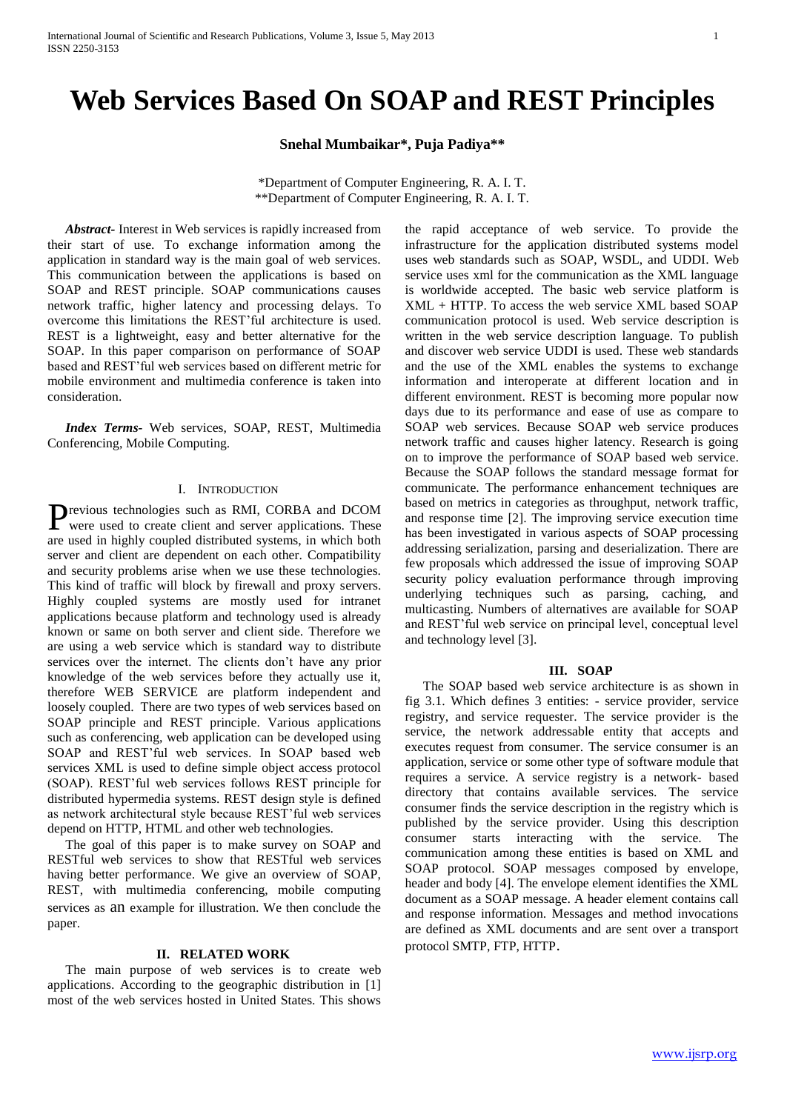# **Web Services Based On SOAP and REST Principles**

**Snehal Mumbaikar\*, Puja Padiya\*\***

\*Department of Computer Engineering, R. A. I. T. \*\*Department of Computer Engineering, R. A. I. T.

*Abstract-* Interest in Web services is rapidly increased from their start of use. To exchange information among the application in standard way is the main goal of web services. This communication between the applications is based on SOAP and REST principle. SOAP communications causes network traffic, higher latency and processing delays. To overcome this limitations the REST'ful architecture is used. REST is a lightweight, easy and better alternative for the SOAP. In this paper comparison on performance of SOAP based and REST'ful web services based on different metric for mobile environment and multimedia conference is taken into consideration.

*Index Terms-* Web services, SOAP, REST, Multimedia Conferencing, Mobile Computing.

## I. INTRODUCTION

revious technologies such as RMI, CORBA and DCOM Previous technologies such as RMI, CORBA and DCOM were used to create client and server applications. These are used in highly coupled distributed systems, in which both server and client are dependent on each other. Compatibility and security problems arise when we use these technologies. This kind of traffic will block by firewall and proxy servers. Highly coupled systems are mostly used for intranet applications because platform and technology used is already known or same on both server and client side. Therefore we are using a web service which is standard way to distribute services over the internet. The clients don't have any prior knowledge of the web services before they actually use it, therefore WEB SERVICE are platform independent and loosely coupled. There are two types of web services based on SOAP principle and REST principle. Various applications such as conferencing, web application can be developed using SOAP and REST'ful web services. In SOAP based web services XML is used to define simple object access protocol (SOAP). REST'ful web services follows REST principle for distributed hypermedia systems. REST design style is defined as network architectural style because REST'ful web services depend on HTTP, HTML and other web technologies.

The goal of this paper is to make survey on SOAP and RESTful web services to show that RESTful web services having better performance. We give an overview of SOAP, REST, with multimedia conferencing, mobile computing services as an example for illustration. We then conclude the paper.

#### **II. RELATED WORK**

The main purpose of web services is to create web applications. According to the geographic distribution in [1] most of the web services hosted in United States. This shows

the rapid acceptance of web service. To provide the infrastructure for the application distributed systems model uses web standards such as SOAP, WSDL, and UDDI. Web service uses xml for the communication as the XML language is worldwide accepted. The basic web service platform is XML + HTTP. To access the web service XML based SOAP communication protocol is used. Web service description is written in the web service description language. To publish and discover web service UDDI is used. These web standards and the use of the XML enables the systems to exchange information and interoperate at different location and in different environment. REST is becoming more popular now days due to its performance and ease of use as compare to SOAP web services. Because SOAP web service produces network traffic and causes higher latency. Research is going on to improve the performance of SOAP based web service. Because the SOAP follows the standard message format for communicate. The performance enhancement techniques are based on metrics in categories as throughput, network traffic, and response time [2]. The improving service execution time has been investigated in various aspects of SOAP processing addressing serialization, parsing and deserialization. There are few proposals which addressed the issue of improving SOAP security policy evaluation performance through improving underlying techniques such as parsing, caching, and multicasting. Numbers of alternatives are available for SOAP and REST'ful web service on principal level, conceptual level and technology level [3].

### **III. SOAP**

The SOAP based web service architecture is as shown in fig 3.1. Which defines 3 entities: - service provider, service registry, and service requester. The service provider is the service, the network addressable entity that accepts and executes request from consumer. The service consumer is an application, service or some other type of software module that requires a service. A service registry is a network- based directory that contains available services. The service consumer finds the service description in the registry which is published by the service provider. Using this description consumer starts interacting with the service. The communication among these entities is based on XML and SOAP protocol. SOAP messages composed by envelope, header and body [4]. The envelope element identifies the XML document as a SOAP message. A header element contains call and response information. Messages and method invocations are defined as XML documents and are sent over a transport protocol SMTP, FTP, HTTP.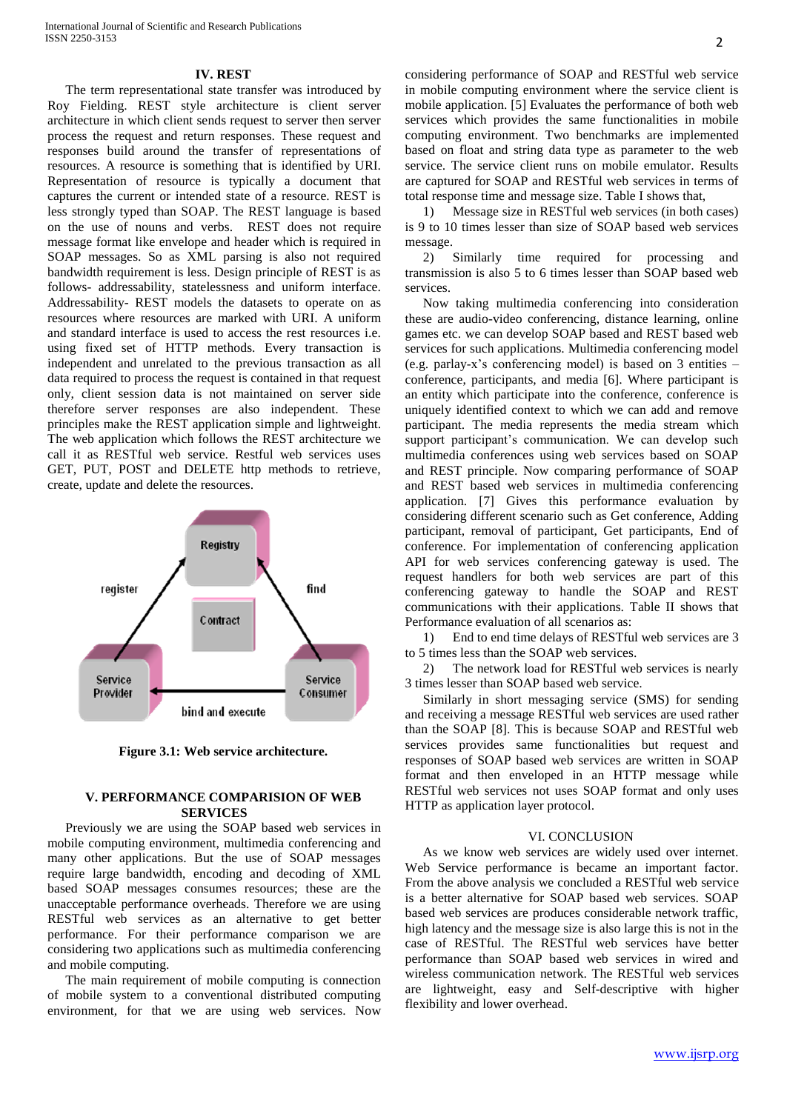#### **IV. REST**

The term representational state transfer was introduced by Roy Fielding. REST style architecture is client server architecture in which client sends request to server then server process the request and return responses. These request and responses build around the transfer of representations of resources. A resource is something that is identified by URI. Representation of resource is typically a document that captures the current or intended state of a resource. REST is less strongly typed than SOAP. The REST language is based on the use of nouns and verbs. REST does not require message format like envelope and header which is required in SOAP messages. So as XML parsing is also not required bandwidth requirement is less. Design principle of REST is as follows- addressability, statelessness and uniform interface. Addressability- REST models the datasets to operate on as resources where resources are marked with URI. A uniform and standard interface is used to access the rest resources i.e. using fixed set of HTTP methods. Every transaction is independent and unrelated to the previous transaction as all data required to process the request is contained in that request only, client session data is not maintained on server side therefore server responses are also independent. These principles make the REST application simple and lightweight. The web application which follows the REST architecture we call it as RESTful web service. Restful web services uses GET, PUT, POST and DELETE http methods to retrieve, create, update and delete the resources.



**Figure 3.1: Web service architecture.**

# **V. PERFORMANCE COMPARISION OF WEB SERVICES**

Previously we are using the SOAP based web services in mobile computing environment, multimedia conferencing and many other applications. But the use of SOAP messages require large bandwidth, encoding and decoding of XML based SOAP messages consumes resources; these are the unacceptable performance overheads. Therefore we are using RESTful web services as an alternative to get better performance. For their performance comparison we are considering two applications such as multimedia conferencing and mobile computing.

The main requirement of mobile computing is connection of mobile system to a conventional distributed computing environment, for that we are using web services. Now considering performance of SOAP and RESTful web service in mobile computing environment where the service client is mobile application. [5] Evaluates the performance of both web services which provides the same functionalities in mobile computing environment. Two benchmarks are implemented based on float and string data type as parameter to the web service. The service client runs on mobile emulator. Results are captured for SOAP and RESTful web services in terms of total response time and message size. Table I shows that,

1) Message size in RESTful web services (in both cases) is 9 to 10 times lesser than size of SOAP based web services message.

2) Similarly time required for processing and transmission is also 5 to 6 times lesser than SOAP based web services.

Now taking multimedia conferencing into consideration these are audio-video conferencing, distance learning, online games etc. we can develop SOAP based and REST based web services for such applications. Multimedia conferencing model (e.g. parlay-x's conferencing model) is based on 3 entities – conference, participants, and media [6]. Where participant is an entity which participate into the conference, conference is uniquely identified context to which we can add and remove participant. The media represents the media stream which support participant's communication. We can develop such multimedia conferences using web services based on SOAP and REST principle. Now comparing performance of SOAP and REST based web services in multimedia conferencing application. [7] Gives this performance evaluation by considering different scenario such as Get conference, Adding participant, removal of participant, Get participants, End of conference. For implementation of conferencing application API for web services conferencing gateway is used. The request handlers for both web services are part of this conferencing gateway to handle the SOAP and REST communications with their applications. Table II shows that Performance evaluation of all scenarios as:

1) End to end time delays of RESTful web services are 3 to 5 times less than the SOAP web services.

2) The network load for RESTful web services is nearly 3 times lesser than SOAP based web service.

Similarly in short messaging service (SMS) for sending and receiving a message RESTful web services are used rather than the SOAP [8]. This is because SOAP and RESTful web services provides same functionalities but request and responses of SOAP based web services are written in SOAP format and then enveloped in an HTTP message while RESTful web services not uses SOAP format and only uses HTTP as application layer protocol.

#### VI. CONCLUSION

As we know web services are widely used over internet. Web Service performance is became an important factor. From the above analysis we concluded a RESTful web service is a better alternative for SOAP based web services. SOAP based web services are produces considerable network traffic, high latency and the message size is also large this is not in the case of RESTful. The RESTful web services have better performance than SOAP based web services in wired and wireless communication network. The RESTful web services are lightweight, easy and Self-descriptive with higher flexibility and lower overhead.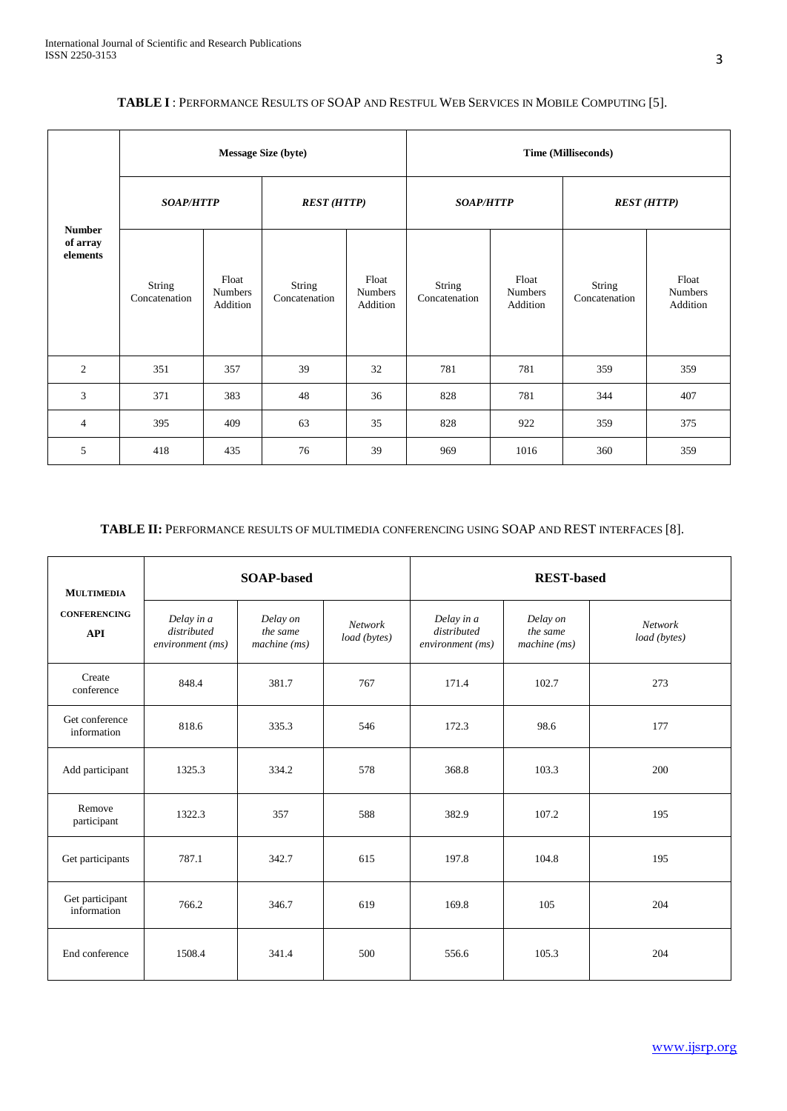| <b>Number</b><br>of array<br>elements | <b>Message Size (byte)</b> |                                     |                         |                                     | Time (Milliseconds)     |                                     |                         |                                     |  |
|---------------------------------------|----------------------------|-------------------------------------|-------------------------|-------------------------------------|-------------------------|-------------------------------------|-------------------------|-------------------------------------|--|
|                                       | <b>SOAP/HTTP</b>           |                                     | <b>REST (HTTP)</b>      |                                     | <b>SOAP/HTTP</b>        |                                     | <b>REST (HTTP)</b>      |                                     |  |
|                                       | String<br>Concatenation    | Float<br><b>Numbers</b><br>Addition | String<br>Concatenation | Float<br><b>Numbers</b><br>Addition | String<br>Concatenation | Float<br><b>Numbers</b><br>Addition | String<br>Concatenation | Float<br><b>Numbers</b><br>Addition |  |
| $\overline{2}$                        | 351                        | 357                                 | 39                      | 32                                  | 781                     | 781                                 | 359                     | 359                                 |  |
| 3                                     | 371                        | 383                                 | 48                      | 36                                  | 828                     | 781                                 | 344                     | 407                                 |  |
| $\overline{4}$                        | 395                        | 409                                 | 63                      | 35                                  | 828                     | 922                                 | 359                     | 375                                 |  |
| 5                                     | 418                        | 435                                 | 76                      | 39                                  | 969                     | 1016                                | 360                     | 359                                 |  |

# **TABLE I** : PERFORMANCE RESULTS OF SOAP AND RESTFUL WEB SERVICES IN MOBILE COMPUTING [5].

# **TABLE II:** PERFORMANCE RESULTS OF MULTIMEDIA CONFERENCING USING SOAP AND REST INTERFACES [8].

| <b>MULTIMEDIA</b>                 |                                               | <b>SOAP-based</b>                          |                         | <b>REST-based</b>                             |                                      |                         |  |
|-----------------------------------|-----------------------------------------------|--------------------------------------------|-------------------------|-----------------------------------------------|--------------------------------------|-------------------------|--|
| <b>CONFERENCING</b><br><b>API</b> | Delay in a<br>distributed<br>environment (ms) | Delay on<br>the same<br>$machine$ ( $ms$ ) | Network<br>load (bytes) | Delay in a<br>distributed<br>environment (ms) | Delay on<br>the same<br>machine (ms) | Network<br>load (bytes) |  |
| Create<br>conference              | 848.4                                         | 381.7                                      | 767                     | 171.4                                         | 102.7                                | 273                     |  |
| Get conference<br>information     | 818.6                                         |                                            | 546                     | 172.3                                         | 98.6                                 | 177                     |  |
| Add participant                   | 1325.3                                        | 334.2                                      | 578                     | 368.8                                         | 103.3                                | 200                     |  |
| Remove<br>participant             | 1322.3                                        | 357                                        | 588                     | 382.9                                         | 107.2                                | 195                     |  |
| Get participants                  | 787.1                                         | 342.7                                      | 615                     | 197.8                                         | 104.8                                | 195                     |  |
| Get participant<br>information    | 766.2                                         | 346.7                                      | 619                     | 169.8                                         | 105                                  | 204                     |  |
| End conference                    | 1508.4                                        | 341.4                                      | 500                     | 556.6                                         | 105.3                                | 204                     |  |